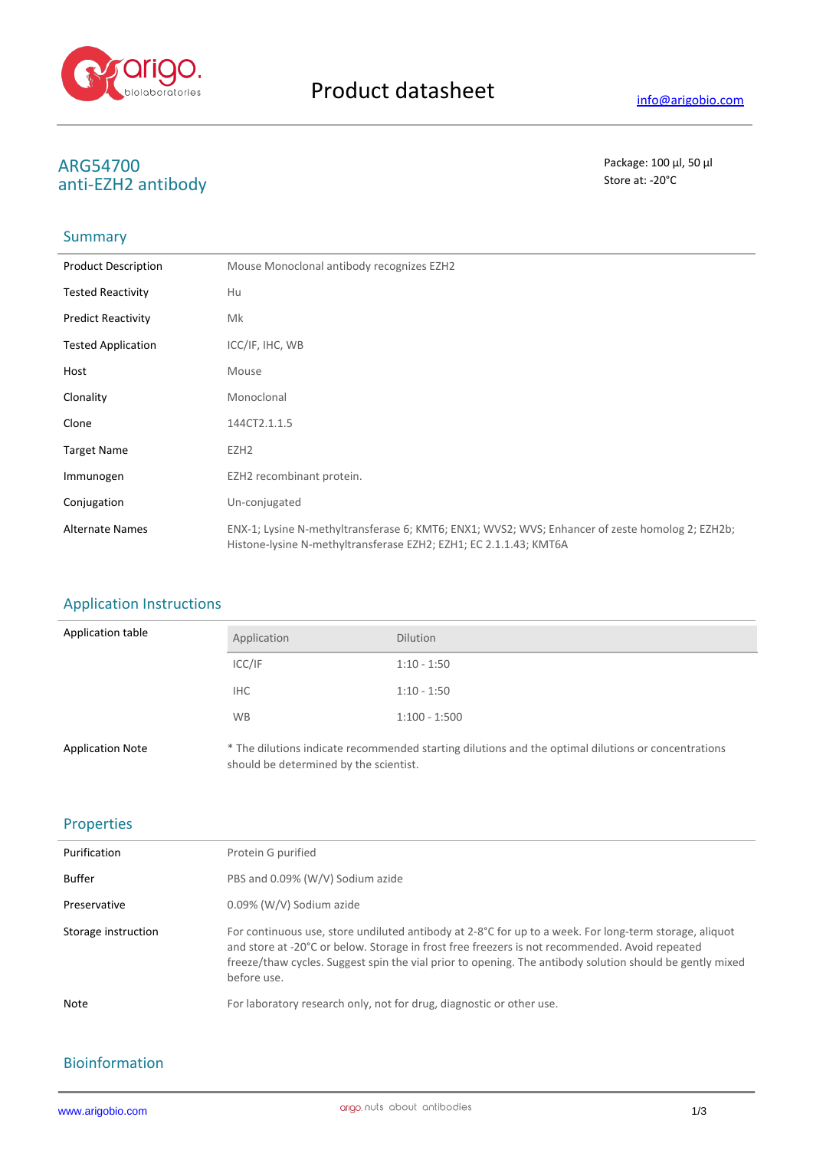

# **ARG54700** Package: 100 μl, 50 μl<br>
anti-E7H2 antibody anti-EZH2 antibody

### **Summary**

| <b>Product Description</b> | Mouse Monoclonal antibody recognizes EZH2                                                                                                                            |
|----------------------------|----------------------------------------------------------------------------------------------------------------------------------------------------------------------|
| <b>Tested Reactivity</b>   | Hu                                                                                                                                                                   |
| <b>Predict Reactivity</b>  | Mk                                                                                                                                                                   |
| <b>Tested Application</b>  | ICC/IF, IHC, WB                                                                                                                                                      |
| Host                       | Mouse                                                                                                                                                                |
| Clonality                  | Monoclonal                                                                                                                                                           |
| Clone                      | 144CT2.1.1.5                                                                                                                                                         |
| <b>Target Name</b>         | EZH <sub>2</sub>                                                                                                                                                     |
| Immunogen                  | EZH2 recombinant protein.                                                                                                                                            |
| Conjugation                | Un-conjugated                                                                                                                                                        |
| <b>Alternate Names</b>     | ENX-1; Lysine N-methyltransferase 6; KMT6; ENX1; WVS2; WVS; Enhancer of zeste homolog 2; EZH2b;<br>Histone-lysine N-methyltransferase EZH2; EZH1; EC 2.1.1.43; KMT6A |

#### Application Instructions

| Application table       | Application                            | <b>Dilution</b>                                                                                     |
|-------------------------|----------------------------------------|-----------------------------------------------------------------------------------------------------|
|                         | ICC/IF                                 | $1:10 - 1:50$                                                                                       |
|                         | <b>IHC</b>                             | $1:10 - 1:50$                                                                                       |
|                         | <b>WB</b>                              | $1:100 - 1:500$                                                                                     |
| <b>Application Note</b> | should be determined by the scientist. | * The dilutions indicate recommended starting dilutions and the optimal dilutions or concentrations |

#### Properties

| Purification        | Protein G purified                                                                                                                                                                                                                                                                                                                  |
|---------------------|-------------------------------------------------------------------------------------------------------------------------------------------------------------------------------------------------------------------------------------------------------------------------------------------------------------------------------------|
| Buffer              | PBS and 0.09% (W/V) Sodium azide                                                                                                                                                                                                                                                                                                    |
| Preservative        | 0.09% (W/V) Sodium azide                                                                                                                                                                                                                                                                                                            |
| Storage instruction | For continuous use, store undiluted antibody at 2-8°C for up to a week. For long-term storage, aliquot<br>and store at -20°C or below. Storage in frost free freezers is not recommended. Avoid repeated<br>freeze/thaw cycles. Suggest spin the vial prior to opening. The antibody solution should be gently mixed<br>before use. |
| <b>Note</b>         | For laboratory research only, not for drug, diagnostic or other use.                                                                                                                                                                                                                                                                |

### Bioinformation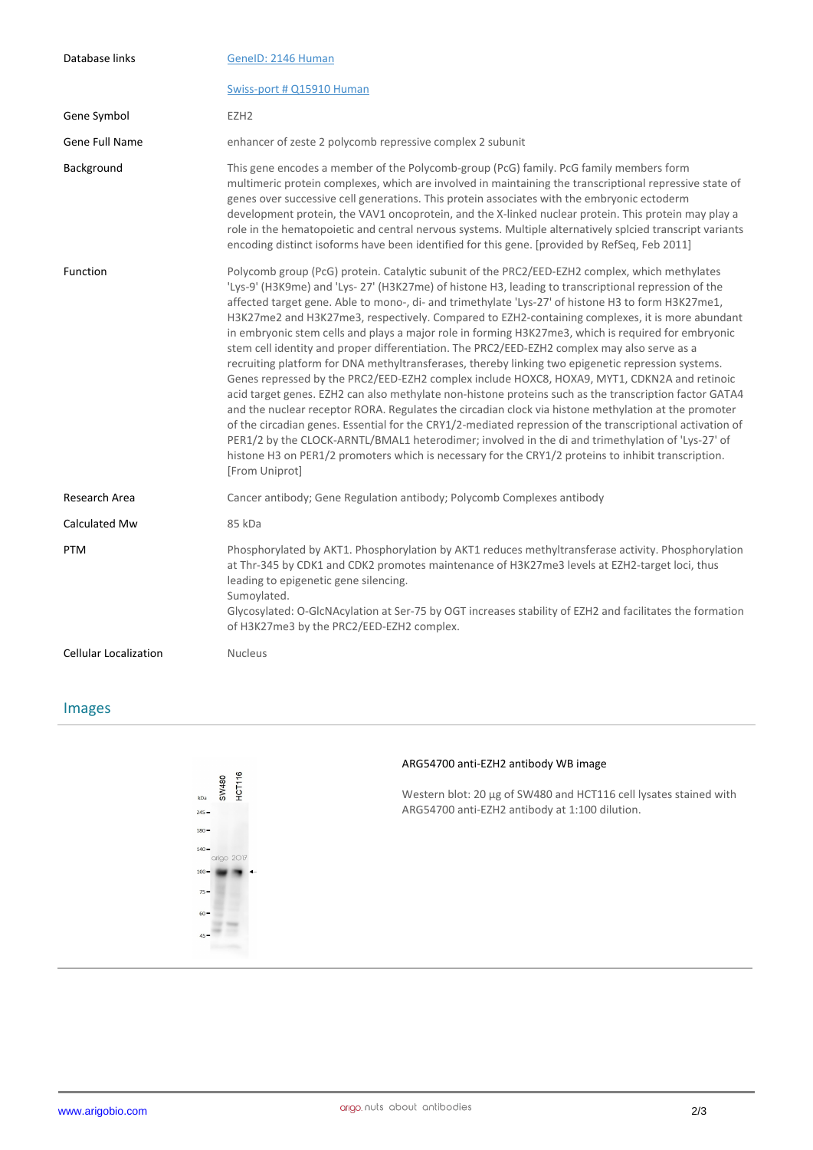| Database links               | GenelD: 2146 Human                                                                                                                                                                                                                                                                                                                                                                                                                                                                                                                                                                                                                                                                                                                                                                                                                                                                                                                                                                                                                                                                                                                                                                                                                                                                                                                                                                        |
|------------------------------|-------------------------------------------------------------------------------------------------------------------------------------------------------------------------------------------------------------------------------------------------------------------------------------------------------------------------------------------------------------------------------------------------------------------------------------------------------------------------------------------------------------------------------------------------------------------------------------------------------------------------------------------------------------------------------------------------------------------------------------------------------------------------------------------------------------------------------------------------------------------------------------------------------------------------------------------------------------------------------------------------------------------------------------------------------------------------------------------------------------------------------------------------------------------------------------------------------------------------------------------------------------------------------------------------------------------------------------------------------------------------------------------|
|                              | Swiss-port # Q15910 Human                                                                                                                                                                                                                                                                                                                                                                                                                                                                                                                                                                                                                                                                                                                                                                                                                                                                                                                                                                                                                                                                                                                                                                                                                                                                                                                                                                 |
| Gene Symbol                  | EZH <sub>2</sub>                                                                                                                                                                                                                                                                                                                                                                                                                                                                                                                                                                                                                                                                                                                                                                                                                                                                                                                                                                                                                                                                                                                                                                                                                                                                                                                                                                          |
| Gene Full Name               | enhancer of zeste 2 polycomb repressive complex 2 subunit                                                                                                                                                                                                                                                                                                                                                                                                                                                                                                                                                                                                                                                                                                                                                                                                                                                                                                                                                                                                                                                                                                                                                                                                                                                                                                                                 |
| Background                   | This gene encodes a member of the Polycomb-group (PcG) family. PcG family members form<br>multimeric protein complexes, which are involved in maintaining the transcriptional repressive state of<br>genes over successive cell generations. This protein associates with the embryonic ectoderm<br>development protein, the VAV1 oncoprotein, and the X-linked nuclear protein. This protein may play a<br>role in the hematopoietic and central nervous systems. Multiple alternatively splcied transcript variants<br>encoding distinct isoforms have been identified for this gene. [provided by RefSeq, Feb 2011]                                                                                                                                                                                                                                                                                                                                                                                                                                                                                                                                                                                                                                                                                                                                                                    |
| Function                     | Polycomb group (PcG) protein. Catalytic subunit of the PRC2/EED-EZH2 complex, which methylates<br>'Lys-9' (H3K9me) and 'Lys- 27' (H3K27me) of histone H3, leading to transcriptional repression of the<br>affected target gene. Able to mono-, di- and trimethylate 'Lys-27' of histone H3 to form H3K27me1,<br>H3K27me2 and H3K27me3, respectively. Compared to EZH2-containing complexes, it is more abundant<br>in embryonic stem cells and plays a major role in forming H3K27me3, which is required for embryonic<br>stem cell identity and proper differentiation. The PRC2/EED-EZH2 complex may also serve as a<br>recruiting platform for DNA methyltransferases, thereby linking two epigenetic repression systems.<br>Genes repressed by the PRC2/EED-EZH2 complex include HOXC8, HOXA9, MYT1, CDKN2A and retinoic<br>acid target genes. EZH2 can also methylate non-histone proteins such as the transcription factor GATA4<br>and the nuclear receptor RORA. Regulates the circadian clock via histone methylation at the promoter<br>of the circadian genes. Essential for the CRY1/2-mediated repression of the transcriptional activation of<br>PER1/2 by the CLOCK-ARNTL/BMAL1 heterodimer; involved in the di and trimethylation of 'Lys-27' of<br>histone H3 on PER1/2 promoters which is necessary for the CRY1/2 proteins to inhibit transcription.<br>[From Uniprot] |
| Research Area                | Cancer antibody; Gene Regulation antibody; Polycomb Complexes antibody                                                                                                                                                                                                                                                                                                                                                                                                                                                                                                                                                                                                                                                                                                                                                                                                                                                                                                                                                                                                                                                                                                                                                                                                                                                                                                                    |
| Calculated Mw                | 85 kDa                                                                                                                                                                                                                                                                                                                                                                                                                                                                                                                                                                                                                                                                                                                                                                                                                                                                                                                                                                                                                                                                                                                                                                                                                                                                                                                                                                                    |
| <b>PTM</b>                   | Phosphorylated by AKT1. Phosphorylation by AKT1 reduces methyltransferase activity. Phosphorylation<br>at Thr-345 by CDK1 and CDK2 promotes maintenance of H3K27me3 levels at EZH2-target loci, thus<br>leading to epigenetic gene silencing.<br>Sumoylated.<br>Glycosylated: O-GlcNAcylation at Ser-75 by OGT increases stability of EZH2 and facilitates the formation<br>of H3K27me3 by the PRC2/EED-EZH2 complex.                                                                                                                                                                                                                                                                                                                                                                                                                                                                                                                                                                                                                                                                                                                                                                                                                                                                                                                                                                     |
| <b>Cellular Localization</b> | <b>Nucleus</b>                                                                                                                                                                                                                                                                                                                                                                                                                                                                                                                                                                                                                                                                                                                                                                                                                                                                                                                                                                                                                                                                                                                                                                                                                                                                                                                                                                            |

## Images



#### **ARG54700 anti-EZH2 antibody WB image**

Western blot: 20 µg of SW480 and HCT116 cell lysates stained with ARG54700 anti-EZH2 antibody at 1:100 dilution.